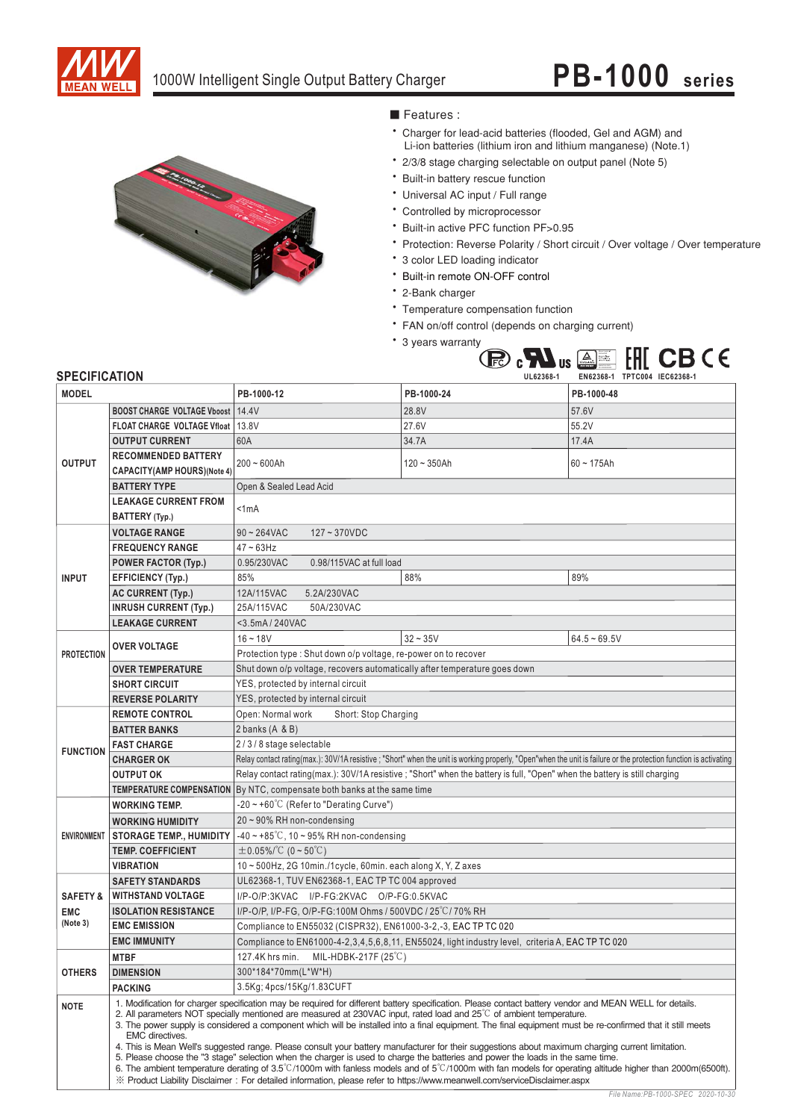



### ■ Features :

- \* Charger for lead-acid batteries (flooded, Gel and AGM) and Li-ion batteries (lithium iron and lithium manganese) (Note.1)
- \* 2/3/8 stage charging selectable on output panel (Note 5)
- \* Built-in battery rescue function
- \* Universal AC input / Full range
- \* Controlled by microprocessor
- \* Built-in active PFC function PF>0.95
- \* Protection: Reverse Polarity / Short circuit / Over voltage / Over temperature
- \* 3 color LED loading indicator
- \* Built-in remote ON-OFF control
- \* 2-Bank charger
- \* Temperature compensation function
- \* FAN on/off control (depends on charging current)
- \* 3 years warranty



#### **SPECIFICATION**

| <b>MODEL</b>        |                                                                                                                                                                                                                                                                                                                                                                                                                                                                                                                                                                                                                                                                                                                                                                                                                                                                                                                                                                                                                                                                | PB-1000-12                                                                                                                                                        | PB-1000-24                                                                                       | PB-1000-48     |
|---------------------|----------------------------------------------------------------------------------------------------------------------------------------------------------------------------------------------------------------------------------------------------------------------------------------------------------------------------------------------------------------------------------------------------------------------------------------------------------------------------------------------------------------------------------------------------------------------------------------------------------------------------------------------------------------------------------------------------------------------------------------------------------------------------------------------------------------------------------------------------------------------------------------------------------------------------------------------------------------------------------------------------------------------------------------------------------------|-------------------------------------------------------------------------------------------------------------------------------------------------------------------|--------------------------------------------------------------------------------------------------|----------------|
|                     | <b>BOOST CHARGE VOLTAGE Vboost   14.4V</b>                                                                                                                                                                                                                                                                                                                                                                                                                                                                                                                                                                                                                                                                                                                                                                                                                                                                                                                                                                                                                     |                                                                                                                                                                   | 28.8V                                                                                            | 57.6V          |
|                     | FLOAT CHARGE VOLTAGE Vfloat   13.8V                                                                                                                                                                                                                                                                                                                                                                                                                                                                                                                                                                                                                                                                                                                                                                                                                                                                                                                                                                                                                            |                                                                                                                                                                   | 27.6V                                                                                            | 55.2V          |
|                     | <b>OUTPUT CURRENT</b>                                                                                                                                                                                                                                                                                                                                                                                                                                                                                                                                                                                                                                                                                                                                                                                                                                                                                                                                                                                                                                          | 60A                                                                                                                                                               | 34.7A                                                                                            | 17.4A          |
| <b>OUTPUT</b>       | <b>RECOMMENDED BATTERY</b>                                                                                                                                                                                                                                                                                                                                                                                                                                                                                                                                                                                                                                                                                                                                                                                                                                                                                                                                                                                                                                     | $200 - 600$ Ah                                                                                                                                                    | $120 - 350Ah$                                                                                    | $60 - 175$ Ah  |
|                     | <b>CAPACITY(AMP HOURS)(Note 4)</b>                                                                                                                                                                                                                                                                                                                                                                                                                                                                                                                                                                                                                                                                                                                                                                                                                                                                                                                                                                                                                             |                                                                                                                                                                   |                                                                                                  |                |
|                     | <b>BATTERY TYPE</b>                                                                                                                                                                                                                                                                                                                                                                                                                                                                                                                                                                                                                                                                                                                                                                                                                                                                                                                                                                                                                                            | Open & Sealed Lead Acid                                                                                                                                           |                                                                                                  |                |
|                     | <b>LEAKAGE CURRENT FROM</b>                                                                                                                                                                                                                                                                                                                                                                                                                                                                                                                                                                                                                                                                                                                                                                                                                                                                                                                                                                                                                                    | < 1 mA                                                                                                                                                            |                                                                                                  |                |
|                     | BATTERY (Typ.)                                                                                                                                                                                                                                                                                                                                                                                                                                                                                                                                                                                                                                                                                                                                                                                                                                                                                                                                                                                                                                                 |                                                                                                                                                                   |                                                                                                  |                |
|                     | <b>VOLTAGE RANGE</b>                                                                                                                                                                                                                                                                                                                                                                                                                                                                                                                                                                                                                                                                                                                                                                                                                                                                                                                                                                                                                                           | $90 - 264$ VAC<br>$127 - 370VDC$                                                                                                                                  |                                                                                                  |                |
|                     | <b>FREQUENCY RANGE</b>                                                                                                                                                                                                                                                                                                                                                                                                                                                                                                                                                                                                                                                                                                                                                                                                                                                                                                                                                                                                                                         | $47 - 63$ Hz                                                                                                                                                      |                                                                                                  |                |
|                     | <b>POWER FACTOR (Typ.)</b>                                                                                                                                                                                                                                                                                                                                                                                                                                                                                                                                                                                                                                                                                                                                                                                                                                                                                                                                                                                                                                     | 0.95/230VAC<br>0.98/115VAC at full load                                                                                                                           |                                                                                                  |                |
| <b>INPUT</b>        | <b>EFFICIENCY (Typ.)</b>                                                                                                                                                                                                                                                                                                                                                                                                                                                                                                                                                                                                                                                                                                                                                                                                                                                                                                                                                                                                                                       | 85%                                                                                                                                                               | 88%                                                                                              | 89%            |
|                     | <b>AC CURRENT (Typ.)</b>                                                                                                                                                                                                                                                                                                                                                                                                                                                                                                                                                                                                                                                                                                                                                                                                                                                                                                                                                                                                                                       | 5.2A/230VAC<br>12A/115VAC                                                                                                                                         |                                                                                                  |                |
|                     | <b>INRUSH CURRENT (Typ.)</b>                                                                                                                                                                                                                                                                                                                                                                                                                                                                                                                                                                                                                                                                                                                                                                                                                                                                                                                                                                                                                                   | 50A/230VAC<br>25A/115VAC                                                                                                                                          |                                                                                                  |                |
|                     | <b>LEAKAGE CURRENT</b>                                                                                                                                                                                                                                                                                                                                                                                                                                                                                                                                                                                                                                                                                                                                                                                                                                                                                                                                                                                                                                         | <3.5mA/240VAC                                                                                                                                                     |                                                                                                  |                |
|                     | <b>OVER VOLTAGE</b>                                                                                                                                                                                                                                                                                                                                                                                                                                                                                                                                                                                                                                                                                                                                                                                                                                                                                                                                                                                                                                            | $16 - 18V$                                                                                                                                                        | $32 - 35V$                                                                                       | $64.5 - 69.5V$ |
| <b>PROTECTION</b>   |                                                                                                                                                                                                                                                                                                                                                                                                                                                                                                                                                                                                                                                                                                                                                                                                                                                                                                                                                                                                                                                                | Protection type: Shut down o/p voltage, re-power on to recover                                                                                                    |                                                                                                  |                |
|                     | <b>OVER TEMPERATURE</b>                                                                                                                                                                                                                                                                                                                                                                                                                                                                                                                                                                                                                                                                                                                                                                                                                                                                                                                                                                                                                                        | Shut down o/p voltage, recovers automatically after temperature goes down                                                                                         |                                                                                                  |                |
|                     | <b>SHORT CIRCUIT</b>                                                                                                                                                                                                                                                                                                                                                                                                                                                                                                                                                                                                                                                                                                                                                                                                                                                                                                                                                                                                                                           | YES, protected by internal circuit                                                                                                                                |                                                                                                  |                |
|                     | <b>REVERSE POLARITY</b>                                                                                                                                                                                                                                                                                                                                                                                                                                                                                                                                                                                                                                                                                                                                                                                                                                                                                                                                                                                                                                        | YES, protected by internal circuit                                                                                                                                |                                                                                                  |                |
|                     | <b>REMOTE CONTROL</b>                                                                                                                                                                                                                                                                                                                                                                                                                                                                                                                                                                                                                                                                                                                                                                                                                                                                                                                                                                                                                                          | Open: Normal work<br>Short: Stop Charging                                                                                                                         |                                                                                                  |                |
|                     | <b>BATTER BANKS</b>                                                                                                                                                                                                                                                                                                                                                                                                                                                                                                                                                                                                                                                                                                                                                                                                                                                                                                                                                                                                                                            | 2 banks (A & B)                                                                                                                                                   |                                                                                                  |                |
| <b>FUNCTION</b>     | <b>FAST CHARGE</b>                                                                                                                                                                                                                                                                                                                                                                                                                                                                                                                                                                                                                                                                                                                                                                                                                                                                                                                                                                                                                                             | 2/3/8 stage selectable                                                                                                                                            |                                                                                                  |                |
|                     | <b>CHARGER OK</b>                                                                                                                                                                                                                                                                                                                                                                                                                                                                                                                                                                                                                                                                                                                                                                                                                                                                                                                                                                                                                                              | Relay contact rating(max.): 30V/1A resistive ; "Short" when the unit is working properly, "Open"when the unit is failure or the protection function is activating |                                                                                                  |                |
|                     | <b>OUTPUT OK</b>                                                                                                                                                                                                                                                                                                                                                                                                                                                                                                                                                                                                                                                                                                                                                                                                                                                                                                                                                                                                                                               | Relay contact rating(max.): 30V/1A resistive; "Short" when the battery is full, "Open" when the battery is still charging                                         |                                                                                                  |                |
|                     |                                                                                                                                                                                                                                                                                                                                                                                                                                                                                                                                                                                                                                                                                                                                                                                                                                                                                                                                                                                                                                                                | <b>TEMPERATURE COMPENSATION</b> By NTC, compensate both banks at the same time                                                                                    |                                                                                                  |                |
|                     | <b>WORKING TEMP.</b>                                                                                                                                                                                                                                                                                                                                                                                                                                                                                                                                                                                                                                                                                                                                                                                                                                                                                                                                                                                                                                           | $-20$ ~ +60°C (Refer to "Derating Curve")                                                                                                                         |                                                                                                  |                |
|                     | <b>WORKING HUMIDITY</b>                                                                                                                                                                                                                                                                                                                                                                                                                                                                                                                                                                                                                                                                                                                                                                                                                                                                                                                                                                                                                                        | 20~90% RH non-condensing                                                                                                                                          |                                                                                                  |                |
| <b>ENVIRONMENT</b>  | <b>STORAGE TEMP., HUMIDITY</b>                                                                                                                                                                                                                                                                                                                                                                                                                                                                                                                                                                                                                                                                                                                                                                                                                                                                                                                                                                                                                                 | $-40 \sim +85^{\circ}$ C, 10 ~ 95% RH non-condensing                                                                                                              |                                                                                                  |                |
|                     | <b>TEMP. COEFFICIENT</b>                                                                                                                                                                                                                                                                                                                                                                                                                                                                                                                                                                                                                                                                                                                                                                                                                                                                                                                                                                                                                                       | $\pm$ 0.05%/°C (0 ~ 50°C)                                                                                                                                         |                                                                                                  |                |
|                     | <b>VIBRATION</b>                                                                                                                                                                                                                                                                                                                                                                                                                                                                                                                                                                                                                                                                                                                                                                                                                                                                                                                                                                                                                                               | 10~500Hz, 2G 10min./1cycle, 60min. each along X, Y, Z axes                                                                                                        |                                                                                                  |                |
|                     | <b>SAFETY STANDARDS</b>                                                                                                                                                                                                                                                                                                                                                                                                                                                                                                                                                                                                                                                                                                                                                                                                                                                                                                                                                                                                                                        | UL62368-1, TUV EN62368-1, EAC TP TC 004 approved                                                                                                                  |                                                                                                  |                |
| <b>SAFETY &amp;</b> | <b>WITHSTAND VOLTAGE</b>                                                                                                                                                                                                                                                                                                                                                                                                                                                                                                                                                                                                                                                                                                                                                                                                                                                                                                                                                                                                                                       | I/P-O/P:3KVAC I/P-FG:2KVAC O/P-FG:0.5KVAC                                                                                                                         |                                                                                                  |                |
| <b>EMC</b>          | <b>ISOLATION RESISTANCE</b>                                                                                                                                                                                                                                                                                                                                                                                                                                                                                                                                                                                                                                                                                                                                                                                                                                                                                                                                                                                                                                    | I/P-O/P, I/P-FG, O/P-FG:100M Ohms / 500VDC / 25°C/70% RH                                                                                                          |                                                                                                  |                |
| (Note 3)            | <b>EMC EMISSION</b>                                                                                                                                                                                                                                                                                                                                                                                                                                                                                                                                                                                                                                                                                                                                                                                                                                                                                                                                                                                                                                            | Compliance to EN55032 (CISPR32), EN61000-3-2,-3, EAC TP TC 020                                                                                                    |                                                                                                  |                |
|                     | <b>EMC IMMUNITY</b>                                                                                                                                                                                                                                                                                                                                                                                                                                                                                                                                                                                                                                                                                                                                                                                                                                                                                                                                                                                                                                            |                                                                                                                                                                   | Compliance to EN61000-4-2,3,4,5,6,8,11, EN55024, light industry level, criteria A, EAC TP TC 020 |                |
|                     | <b>MTBF</b>                                                                                                                                                                                                                                                                                                                                                                                                                                                                                                                                                                                                                                                                                                                                                                                                                                                                                                                                                                                                                                                    | 127.4K hrs min.<br>MIL-HDBK-217F (25 $°C$ )                                                                                                                       |                                                                                                  |                |
| <b>OTHERS</b>       | <b>DIMENSION</b>                                                                                                                                                                                                                                                                                                                                                                                                                                                                                                                                                                                                                                                                                                                                                                                                                                                                                                                                                                                                                                               | 300*184*70mm(L*W*H)                                                                                                                                               |                                                                                                  |                |
|                     | <b>PACKING</b>                                                                                                                                                                                                                                                                                                                                                                                                                                                                                                                                                                                                                                                                                                                                                                                                                                                                                                                                                                                                                                                 | 3.5Kg; 4pcs/15Kg/1.83CUFT                                                                                                                                         |                                                                                                  |                |
| <b>NOTE</b>         | 1. Modification for charger specification may be required for different battery specification. Please contact battery vendor and MEAN WELL for details.<br>2. All parameters NOT specially mentioned are measured at 230VAC input, rated load and 25 <sup>°</sup> C of ambient temperature.<br>3. The power supply is considered a component which will be installed into a final equipment. The final equipment must be re-confirmed that it still meets<br>EMC directives.<br>4. This is Mean Well's suggested range. Please consult your battery manufacturer for their suggestions about maximum charging current limitation.<br>5. Please choose the "3 stage" selection when the charger is used to charge the batteries and power the loads in the same time.<br>6. The ambient temperature derating of 3.5°C/1000m with fanless models and of 5°C/1000m with fan models for operating altitude higher than 2000m(6500ft).<br>X Product Liability Disclaimer: For detailed information, please refer to https://www.meanwell.com/serviceDisclaimer.aspx |                                                                                                                                                                   |                                                                                                  |                |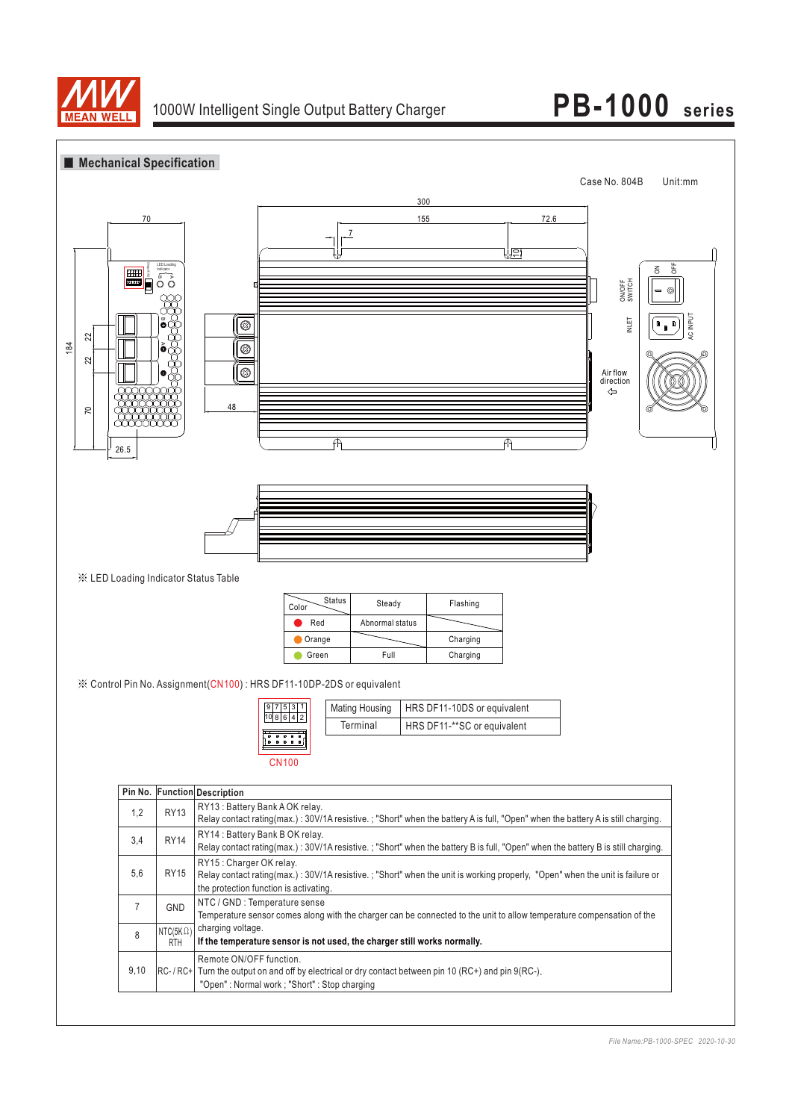

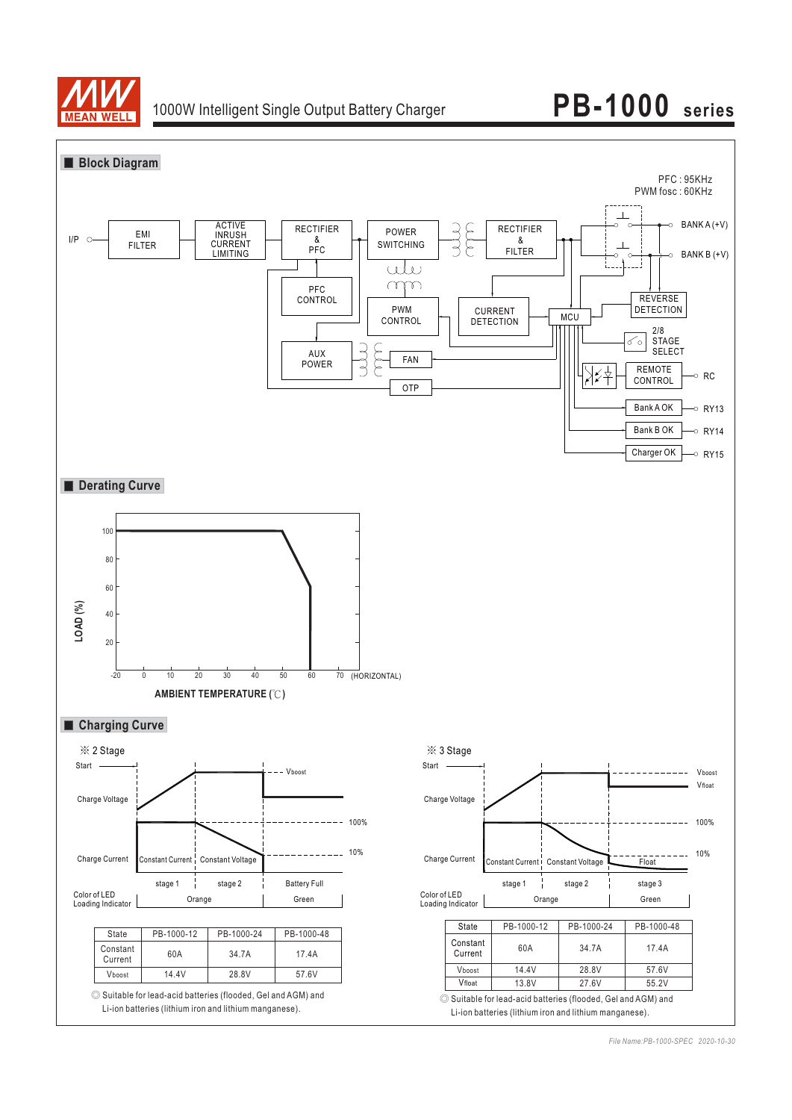

## **PB-1000 series**

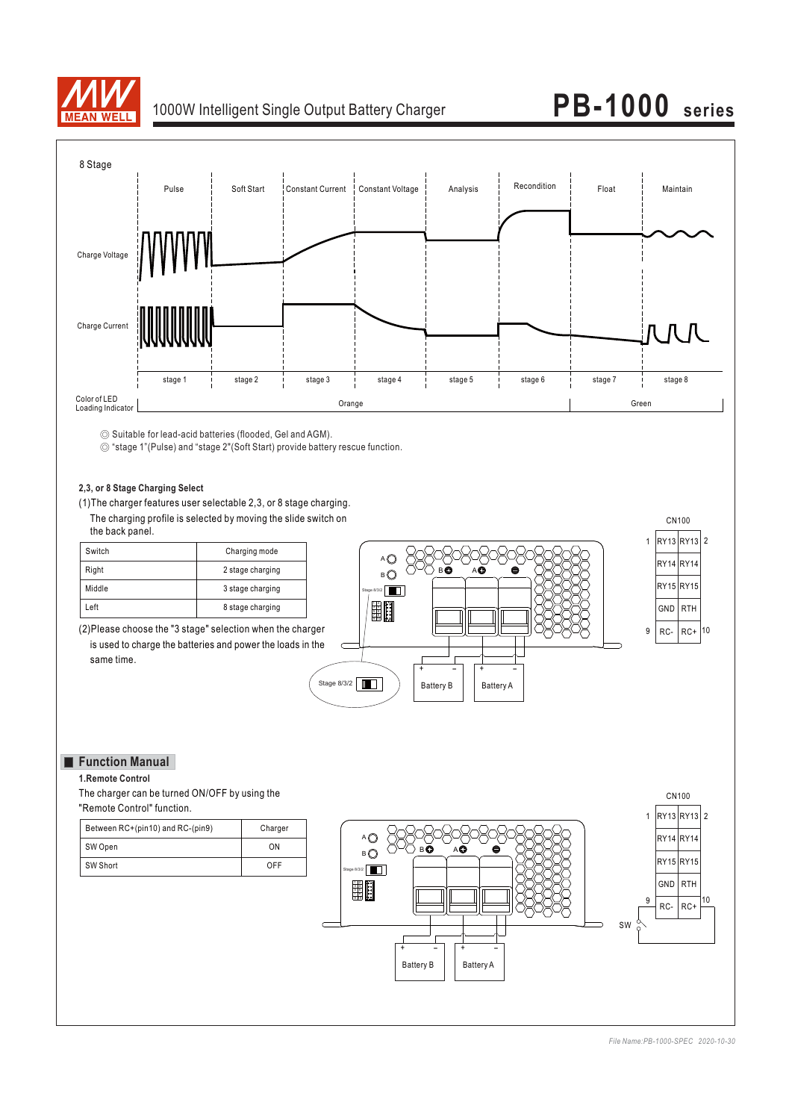

## 1000W Intelligent Single Output Battery Charger **PB-1000 series**



◎ Suitable for lead-acid batteries (flooded, Gel and AGM).

◎ "stage 1"(Pulse) and "stage 2"(Soft Start) provide battery rescue function.

### **2,3, or 8 Stage Charging Select**

(1)The charger features user selectable 2,3, or 8 stage charging. The charging profile is selected by moving the slide switch on the back panel.

| Switch | Charging mode    |
|--------|------------------|
| Right  | 2 stage charging |
| Middle | 3 stage charging |
| .eft   | 8 stage charging |

(2)Please choose the "3 stage" selection when the charger is used to charge the batteries and power the loads in the same time.



### **Function Manual**

**1.Remote Control**

The charger can be turned ON/OFF by using the "Remote Control" function.

| Between RC+(pin10) and RC-(pin9) | Charger |
|----------------------------------|---------|
| SW Open                          | ΩN      |
| SW Short                         | OFF     |

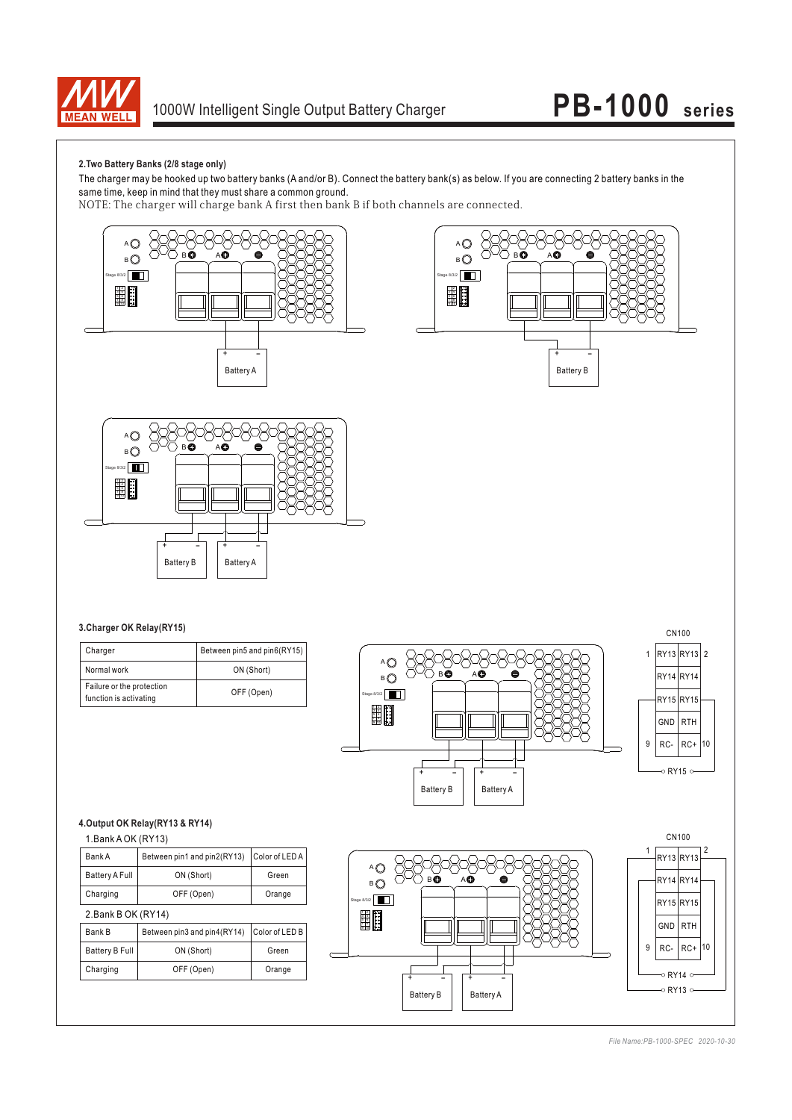

## **PB-1000 series**

### **2.Two Battery Banks (2/8 stage only)**

The charger may be hooked up two battery banks (A and/or B). Connect the battery bank(s) as below. If you are connecting 2 battery banks in the same time, keep in mind that they must share a common ground.

NOTE: The charger will charge bank A first then bank B if both channels are connected.







#### **3.Charger OK Relay(RY15)**

| Charger                                             | Between pin5 and pin6(RY15) |
|-----------------------------------------------------|-----------------------------|
| Normal work                                         | ON (Short)                  |
| Failure or the protection<br>function is activating | OFF (Open)                  |





1.Bank A OK (RY13)

| Bank A                | Between pin1 and pin2(RY13) | Color of LED A |
|-----------------------|-----------------------------|----------------|
| <b>Battery A Full</b> | ON (Short)                  | Green          |
| Charging              | OFF (Open)                  | Orange         |

2.Bank B OK (RY14)

| Between pin3 and pin4(RY14) Color of LED B<br>Bank B |            |        |
|------------------------------------------------------|------------|--------|
| <b>Battery B Full</b>                                | ON (Short) | Green  |
| Charging                                             | OFF (Open) | Orange |



 $10$